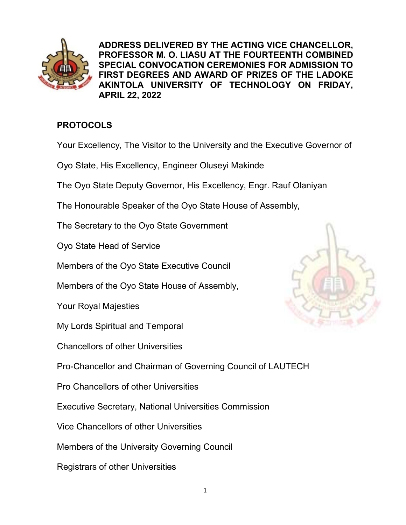

ADDRESS DELIVERED BY THE ACTING VICE CHANCELLOR, PROFESSOR M. O. LIASU AT THE FOURTEENTH COMBINED SPECIAL CONVOCATION CEREMONIES FOR ADMISSION TO FIRST DEGREES AND AWARD OF PRIZES OF THE LADOKE AKINTOLA UNIVERSITY OF TECHNOLOGY ON FRIDAY, APRIL 22, 2022

# **PROTOCOLS**

- Your Excellency, The Visitor to the University and the Executive Governor of
- Oyo State, His Excellency, Engineer Oluseyi Makinde
- The Oyo State Deputy Governor, His Excellency, Engr. Rauf Olaniyan
- The Honourable Speaker of the Oyo State House of Assembly,
- The Secretary to the Oyo State Government
- Oyo State Head of Service
- Members of the Oyo State Executive Council
- Members of the Oyo State House of Assembly,
- Your Royal Majesties
- My Lords Spiritual and Temporal
- Chancellors of other Universities
- Pro-Chancellor and Chairman of Governing Council of LAUTECH
- Pro Chancellors of other Universities
- Executive Secretary, National Universities Commission
- Vice Chancellors of other Universities
- Members of the University Governing Council
- Registrars of other Universities

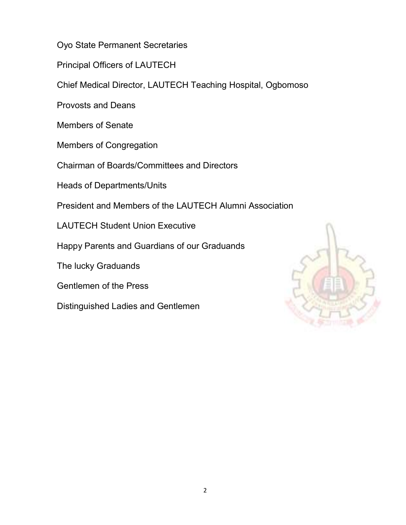Oyo State Permanent Secretaries

Principal Officers of LAUTECH

Chief Medical Director, LAUTECH Teaching Hospital, Ogbomoso

Provosts and Deans

Members of Senate

Members of Congregation

Chairman of Boards/Committees and Directors

Heads of Departments/Units

President and Members of the LAUTECH Alumni Association

LAUTECH Student Union Executive

Happy Parents and Guardians of our Graduands

The lucky Graduands

Gentlemen of the Press

Distinguished Ladies and Gentlemen

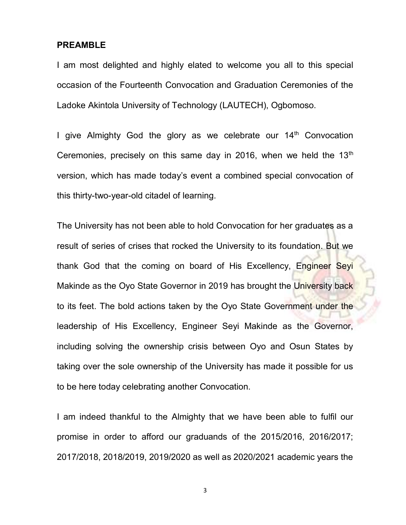#### PREAMBLE

I am most delighted and highly elated to welcome you all to this special occasion of the Fourteenth Convocation and Graduation Ceremonies of the Ladoke Akintola University of Technology (LAUTECH), Ogbomoso.

I give Almighty God the glory as we celebrate our  $14<sup>th</sup>$  Convocation Ceremonies, precisely on this same day in 2016, when we held the  $13<sup>th</sup>$ version, which has made today's event a combined special convocation of this thirty-two-year-old citadel of learning.

The University has not been able to hold Convocation for her graduates as a result of series of crises that rocked the University to its foundation. But we thank God that the coming on board of His Excellency, Engineer Seyi Makinde as the Oyo State Governor in 2019 has brought the University back to its feet. The bold actions taken by the Oyo State Government under the leadership of His Excellency, Engineer Seyi Makinde as the Governor, including solving the ownership crisis between Oyo and Osun States by taking over the sole ownership of the University has made it possible for us to be here today celebrating another Convocation.

I am indeed thankful to the Almighty that we have been able to fulfil our promise in order to afford our graduands of the 2015/2016, 2016/2017; 2017/2018, 2018/2019, 2019/2020 as well as 2020/2021 academic years the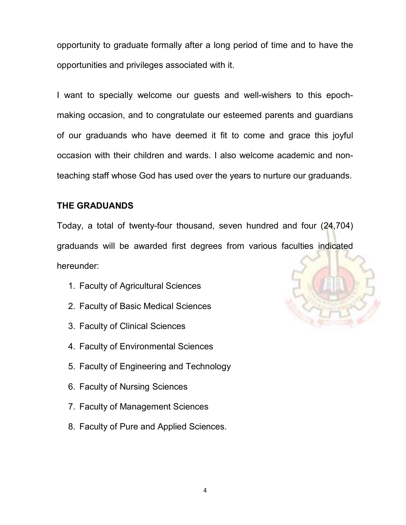opportunity to graduate formally after a long period of time and to have the opportunities and privileges associated with it.

I want to specially welcome our guests and well-wishers to this epochmaking occasion, and to congratulate our esteemed parents and guardians of our graduands who have deemed it fit to come and grace this joyful occasion with their children and wards. I also welcome academic and nonteaching staff whose God has used over the years to nurture our graduands.

### THE GRADUANDS

Today, a total of twenty-four thousand, seven hundred and four (24,704) graduands will be awarded first degrees from various faculties indicated hereunder:

- 1. Faculty of Agricultural Sciences
- 2. Faculty of Basic Medical Sciences
- 3. Faculty of Clinical Sciences
- 4. Faculty of Environmental Sciences
- 5. Faculty of Engineering and Technology
- 6. Faculty of Nursing Sciences
- 7. Faculty of Management Sciences
- 8. Faculty of Pure and Applied Sciences.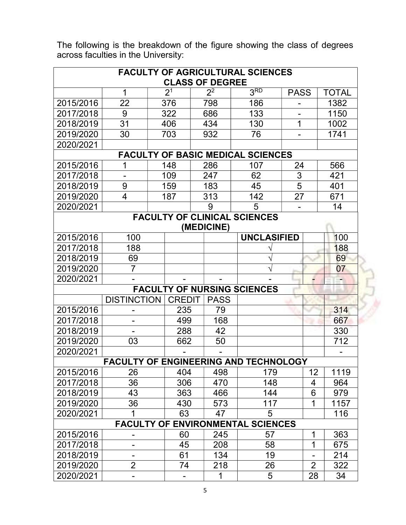| <b>FACULTY OF AGRICULTURAL SCIENCES</b><br><b>CLASS OF DEGREE</b> |                                              |                |  |             |                                    |             |                |              |  |
|-------------------------------------------------------------------|----------------------------------------------|----------------|--|-------------|------------------------------------|-------------|----------------|--------------|--|
|                                                                   | 1                                            | 2 <sup>1</sup> |  | $2^2$       | 3 <sub>RD</sub>                    | <b>PASS</b> |                | <b>TOTAL</b> |  |
| 2015/2016                                                         | 22                                           | 376            |  | 798         | 186                                |             |                | 1382         |  |
| 2017/2018                                                         | 9                                            | 322            |  | 686         | 133                                |             |                | 1150         |  |
| 2018/2019                                                         | 31                                           | 406            |  | 434         | 130                                | 1           |                | 1002         |  |
| 2019/2020                                                         | 30                                           | 703            |  | 932         | 76                                 |             |                | 1741         |  |
| 2020/2021                                                         |                                              |                |  |             |                                    |             |                |              |  |
| <b>FACULTY OF BASIC MEDICAL SCIENCES</b>                          |                                              |                |  |             |                                    |             |                |              |  |
| 2015/2016                                                         | 1                                            | 148            |  | 286         | 107                                | 24          |                | 566          |  |
| 2017/2018                                                         |                                              | 109            |  | 247         | 62                                 | 3           |                | 421          |  |
| 2018/2019                                                         | 9                                            | 159            |  | 183         | 45                                 | 5           |                | 401          |  |
| 2019/2020                                                         | $\overline{4}$                               | 187            |  | 313         | 142                                | 27          |                | 671          |  |
| 2020/2021                                                         |                                              |                |  | 9           | 5                                  |             |                | 14           |  |
| <b>FACULTY OF CLINICAL SCIENCES</b><br>(MEDICINE)                 |                                              |                |  |             |                                    |             |                |              |  |
| 2015/2016                                                         | 100                                          |                |  |             | <b>UNCLASIFIED</b>                 |             |                | 100          |  |
| 2017/2018                                                         | 188                                          |                |  |             |                                    |             |                | 188          |  |
| 2018/2019                                                         | 69                                           |                |  |             |                                    |             |                | 69           |  |
| 2019/2020                                                         | $\overline{7}$                               |                |  |             |                                    |             |                | 07           |  |
| 2020/2021                                                         |                                              |                |  |             |                                    |             |                |              |  |
|                                                                   |                                              |                |  |             | <b>FACULTY OF NURSING SCIENCES</b> |             |                |              |  |
|                                                                   | <b>DISTINCTION</b>                           | <b>CREDIT</b>  |  | <b>PASS</b> |                                    |             |                |              |  |
| 2015/2016                                                         |                                              | 235            |  | 79          |                                    |             |                | 314          |  |
| 2017/2018                                                         |                                              | 499            |  | 168         |                                    |             |                | 667          |  |
| 2018/2019                                                         |                                              | 288            |  | 42          |                                    |             |                | 330          |  |
| 2019/2020                                                         | 03                                           | 662            |  | 50          |                                    |             |                | 712          |  |
| 2020/2021                                                         |                                              |                |  |             |                                    |             |                |              |  |
|                                                                   | <b>FACULTY OF ENGINEERING AND TECHNOLOGY</b> |                |  |             |                                    |             |                |              |  |
| 2015/2016                                                         | 26                                           | 404            |  | 498         | 179                                |             | 12             | 1119         |  |
| 2017/2018                                                         | 36                                           | 306            |  | 470         | 148                                |             | 4              | 964          |  |
| 2018/2019                                                         | 43                                           | 363            |  | 466         | 144                                |             | 6              | 979          |  |
| 2019/2020                                                         | 36                                           | 430            |  | 573         | 117                                |             | 1              | 1157         |  |
| 2020/2021                                                         | 1                                            | 63             |  | 47          | 5                                  |             |                | 116          |  |
|                                                                   | <b>FACULTY OF ENVIRONMENTAL SCIENCES</b>     |                |  |             |                                    |             |                |              |  |
| 2015/2016                                                         | -                                            | 60             |  | 245         | 57                                 |             | 1              | 363          |  |
| 2017/2018                                                         |                                              | 45             |  | 208         | 58                                 |             | $\mathbf 1$    | 675          |  |
| 2018/2019                                                         |                                              | 61             |  | 134         | 19                                 |             |                | 214          |  |
| 2019/2020                                                         | $\overline{2}$                               | 74             |  | 218         | 26                                 |             | $\overline{2}$ | 322          |  |
| 2020/2021                                                         | -                                            | -              |  | 1           | 5                                  |             | 28             | 34           |  |

The following is the breakdown of the figure showing the class of degrees across faculties in the University: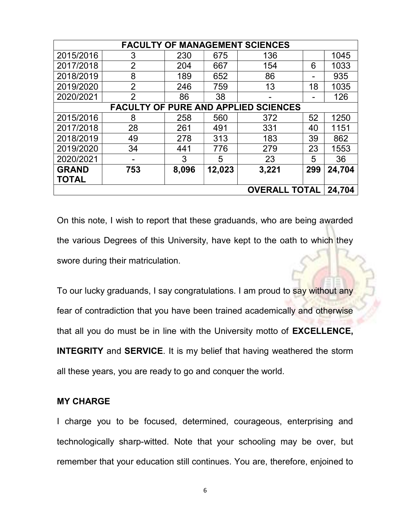| <b>FACULTY OF MANAGEMENT SCIENCES</b>       |                |       |        |       |     |        |  |
|---------------------------------------------|----------------|-------|--------|-------|-----|--------|--|
| 2015/2016                                   | 3              | 230   | 675    | 136   |     | 1045   |  |
| 2017/2018                                   | $\overline{2}$ | 204   | 667    | 154   | 6   | 1033   |  |
| 2018/2019                                   | 8              | 189   | 652    | 86    |     | 935    |  |
| 2019/2020                                   | $\overline{2}$ | 246   | 759    | 13    | 18  | 1035   |  |
| 2020/2021                                   | $\overline{2}$ | 86    | 38     |       |     | 126    |  |
| <b>FACULTY OF PURE AND APPLIED SCIENCES</b> |                |       |        |       |     |        |  |
| 2015/2016                                   | 8              | 258   | 560    | 372   | 52  | 1250   |  |
| 2017/2018                                   | 28             | 261   | 491    | 331   | 40  | 1151   |  |
| 2018/2019                                   | 49             | 278   | 313    | 183   | 39  | 862    |  |
| 2019/2020                                   | 34             | 441   | 776    | 279   | 23  | 1553   |  |
| 2020/2021                                   |                | 3     | 5      | 23    | 5   | 36     |  |
| <b>GRAND</b>                                | 753            | 8,096 | 12,023 | 3,221 | 299 | 24,704 |  |
| <b>TOTAL</b>                                |                |       |        |       |     |        |  |
| <b>OVERALL TOTAL</b><br>24,704              |                |       |        |       |     |        |  |

On this note, I wish to report that these graduands, who are being awarded the various Degrees of this University, have kept to the oath to which they swore during their matriculation.

To our lucky graduands, I say congratulations. I am proud to say without any fear of contradiction that you have been trained academically and otherwise that all you do must be in line with the University motto of EXCELLENCE, INTEGRITY and SERVICE. It is my belief that having weathered the storm all these years, you are ready to go and conquer the world.

#### MY CHARGE

I charge you to be focused, determined, courageous, enterprising and technologically sharp-witted. Note that your schooling may be over, but remember that your education still continues. You are, therefore, enjoined to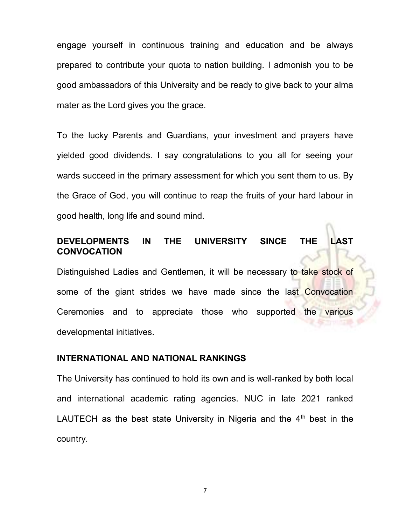engage yourself in continuous training and education and be always prepared to contribute your quota to nation building. I admonish you to be good ambassadors of this University and be ready to give back to your alma mater as the Lord gives you the grace.

To the lucky Parents and Guardians, your investment and prayers have yielded good dividends. I say congratulations to you all for seeing your wards succeed in the primary assessment for which you sent them to us. By the Grace of God, you will continue to reap the fruits of your hard labour in good health, long life and sound mind.

## DEVELOPMENTS IN THE UNIVERSITY SINCE THE LAST **CONVOCATION**

Distinguished Ladies and Gentlemen, it will be necessary to take stock of some of the giant strides we have made since the last Convocation Ceremonies and to appreciate those who supported the various developmental initiatives.

### INTERNATIONAL AND NATIONAL RANKINGS

The University has continued to hold its own and is well-ranked by both local and international academic rating agencies. NUC in late 2021 ranked LAUTECH as the best state University in Nigeria and the  $4<sup>th</sup>$  best in the country.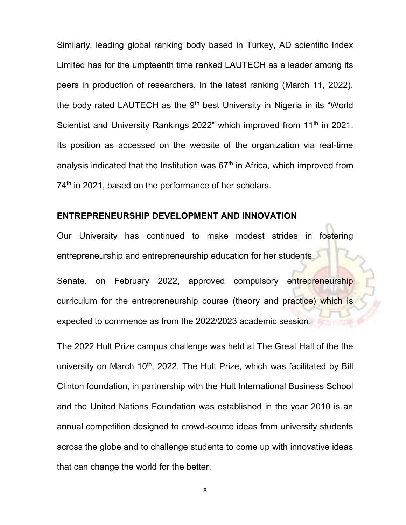Similarly, leading global ranking body based in Turkey, AD scientific Index Limited has for the umpteenth time ranked LAUTECH as a leader among its peers in production of researchers. In the latest ranking (March 11, 2022), the body rated LAUTECH as the  $9<sup>th</sup>$  best University in Nigeria in its "World Scientist and University Rankings 2022" which improved from 11<sup>th</sup> in 2021. Its position as accessed on the website of the organization via real-time analysis indicated that the Institution was  $67<sup>th</sup>$  in Africa, which improved from 74<sup>th</sup> in 2021, based on the performance of her scholars.

### ENTREPRENEURSHIP DEVELOPMENT AND INNOVATION

Our University has continued to make modest strides in fostering entrepreneurship and entrepreneurship education for her students.

Senate, on February 2022, approved compulsory entrepreneurship curriculum for the entrepreneurship course (theory and practice) which is expected to commence as from the 2022/2023 academic session.

The 2022 Hult Prize campus challenge was held at The Great Hall of the the university on March  $10<sup>th</sup>$ , 2022. The Hult Prize, which was facilitated by Bill Clinton foundation, in partnership with the Hult International Business School and the United Nations Foundation was established in the year 2010 is an annual competition designed to crowd-source ideas from university students across the globe and to challenge students to come up with innovative ideas that can change the world for the better.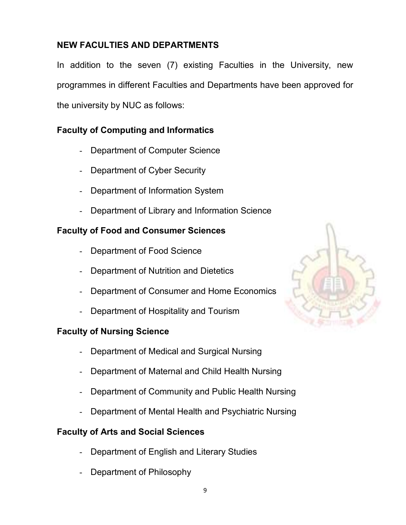# NEW FACULTIES AND DEPARTMENTS

In addition to the seven (7) existing Faculties in the University, new programmes in different Faculties and Departments have been approved for the university by NUC as follows:

# Faculty of Computing and Informatics

- Department of Computer Science
- Department of Cyber Security
- Department of Information System
- Department of Library and Information Science

# Faculty of Food and Consumer Sciences

- Department of Food Science
- Department of Nutrition and Dietetics
- Department of Consumer and Home Economics
- Department of Hospitality and Tourism

# Faculty of Nursing Science

- Department of Medical and Surgical Nursing
- Department of Maternal and Child Health Nursing
- Department of Community and Public Health Nursing
- Department of Mental Health and Psychiatric Nursing

## Faculty of Arts and Social Sciences

- Department of English and Literary Studies
- Department of Philosophy

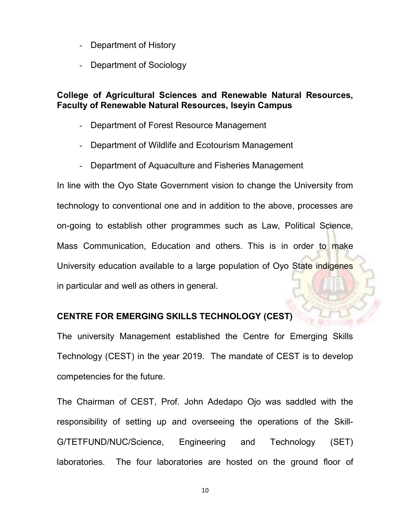- Department of History
- Department of Sociology

### College of Agricultural Sciences and Renewable Natural Resources, Faculty of Renewable Natural Resources, Iseyin Campus

- Department of Forest Resource Management
- Department of Wildlife and Ecotourism Management
- Department of Aquaculture and Fisheries Management

In line with the Oyo State Government vision to change the University from technology to conventional one and in addition to the above, processes are on-going to establish other programmes such as Law, Political Science, Mass Communication, Education and others. This is in order to make University education available to a large population of Oyo State indigenes in particular and well as others in general.

### CENTRE FOR EMERGING SKILLS TECHNOLOGY (CEST)

The university Management established the Centre for Emerging Skills Technology (CEST) in the year 2019. The mandate of CEST is to develop competencies for the future.

The Chairman of CEST, Prof. John Adedapo Ojo was saddled with the responsibility of setting up and overseeing the operations of the Skill-G/TETFUND/NUC/Science, Engineering and Technology (SET) laboratories. The four laboratories are hosted on the ground floor of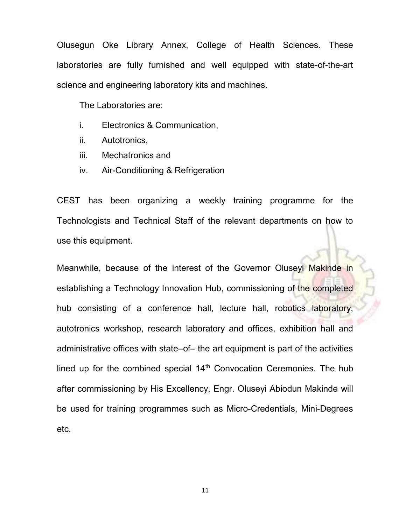Olusegun Oke Library Annex, College of Health Sciences. These laboratories are fully furnished and well equipped with state-of-the-art science and engineering laboratory kits and machines.

The Laboratories are:

- i. Electronics & Communication,
- ii. Autotronics,
- iii. Mechatronics and
- iv. Air-Conditioning & Refrigeration

CEST has been organizing a weekly training programme for the Technologists and Technical Staff of the relevant departments on how to use this equipment.

Meanwhile, because of the interest of the Governor Oluseyi Makinde in establishing a Technology Innovation Hub, commissioning of the completed hub consisting of a conference hall, lecture hall, robotics laboratory, autotronics workshop, research laboratory and offices, exhibition hall and administrative offices with state–of– the art equipment is part of the activities lined up for the combined special 14<sup>th</sup> Convocation Ceremonies. The hub after commissioning by His Excellency, Engr. Oluseyi Abiodun Makinde will be used for training programmes such as Micro-Credentials, Mini-Degrees etc.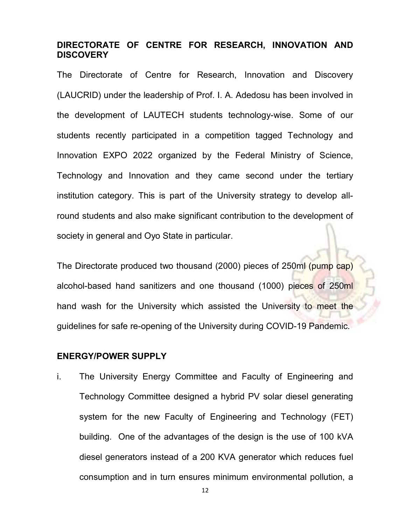## DIRECTORATE OF CENTRE FOR RESEARCH, INNOVATION AND **DISCOVERY**

The Directorate of Centre for Research, Innovation and Discovery (LAUCRID) under the leadership of Prof. I. A. Adedosu has been involved in the development of LAUTECH students technology-wise. Some of our students recently participated in a competition tagged Technology and Innovation EXPO 2022 organized by the Federal Ministry of Science, Technology and Innovation and they came second under the tertiary institution category. This is part of the University strategy to develop allround students and also make significant contribution to the development of society in general and Oyo State in particular.

The Directorate produced two thousand (2000) pieces of 250ml (pump cap) alcohol-based hand sanitizers and one thousand (1000) pieces of 250ml hand wash for the University which assisted the University to meet the guidelines for safe re-opening of the University during COVID-19 Pandemic.

#### ENERGY/POWER SUPPLY

i. The University Energy Committee and Faculty of Engineering and Technology Committee designed a hybrid PV solar diesel generating system for the new Faculty of Engineering and Technology (FET) building. One of the advantages of the design is the use of 100 kVA diesel generators instead of a 200 KVA generator which reduces fuel consumption and in turn ensures minimum environmental pollution, a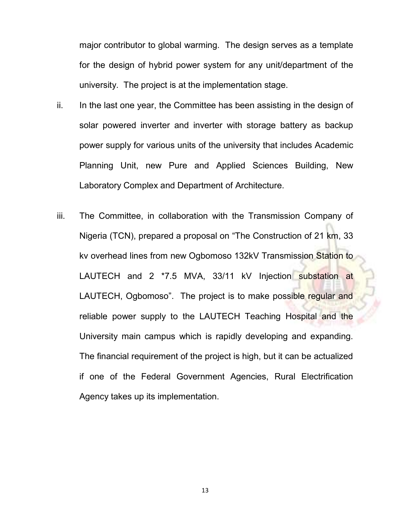major contributor to global warming. The design serves as a template for the design of hybrid power system for any unit/department of the university. The project is at the implementation stage.

- ii. In the last one year, the Committee has been assisting in the design of solar powered inverter and inverter with storage battery as backup power supply for various units of the university that includes Academic Planning Unit, new Pure and Applied Sciences Building, New Laboratory Complex and Department of Architecture.
- iii. The Committee, in collaboration with the Transmission Company of Nigeria (TCN), prepared a proposal on "The Construction of 21 km, 33 kv overhead lines from new Ogbomoso 132kV Transmission Station to LAUTECH and 2 \*7.5 MVA, 33/11 kV Injection substation at LAUTECH, Ogbomoso". The project is to make possible regular and reliable power supply to the LAUTECH Teaching Hospital and the University main campus which is rapidly developing and expanding. The financial requirement of the project is high, but it can be actualized if one of the Federal Government Agencies, Rural Electrification Agency takes up its implementation.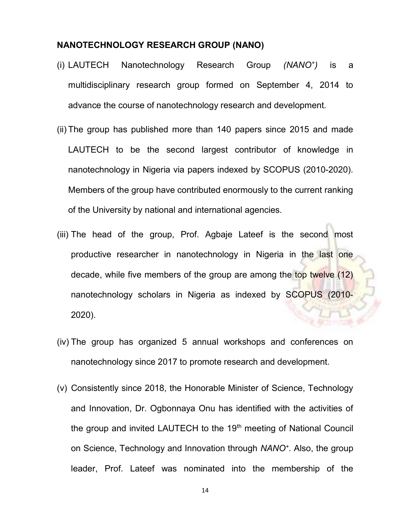### NANOTECHNOLOGY RESEARCH GROUP (NANO)

- (i) LAUTECH Nanotechnology Research Group (NANO<sup>+</sup> ) is a multidisciplinary research group formed on September 4, 2014 to advance the course of nanotechnology research and development.
- (ii) The group has published more than 140 papers since 2015 and made LAUTECH to be the second largest contributor of knowledge in nanotechnology in Nigeria via papers indexed by SCOPUS (2010-2020). Members of the group have contributed enormously to the current ranking of the University by national and international agencies.
- (iii) The head of the group, Prof. Agbaje Lateef is the second most productive researcher in nanotechnology in Nigeria in the last one decade, while five members of the group are among the top twelve (12) nanotechnology scholars in Nigeria as indexed by SCOPUS (2010- 2020).
- (iv) The group has organized 5 annual workshops and conferences on nanotechnology since 2017 to promote research and development.
- (v) Consistently since 2018, the Honorable Minister of Science, Technology and Innovation, Dr. Ogbonnaya Onu has identified with the activities of the group and invited LAUTECH to the 19<sup>th</sup> meeting of National Council on Science, Technology and Innovation through NANO<sup>+</sup>. Also, the group leader, Prof. Lateef was nominated into the membership of the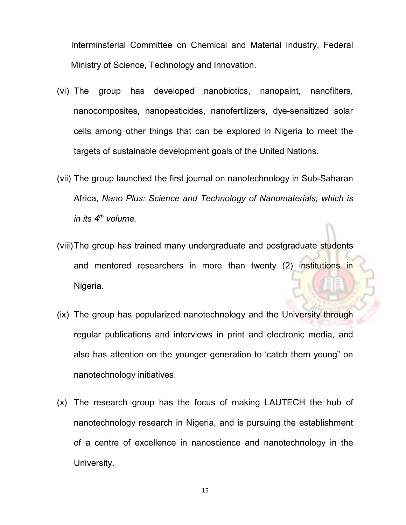Interminsterial Committee on Chemical and Material Industry, Federal Ministry of Science, Technology and Innovation.

- (vi) The group has developed nanobiotics, nanopaint, nanofilters, nanocomposites, nanopesticides, nanofertilizers, dye-sensitized solar cells among other things that can be explored in Nigeria to meet the targets of sustainable development goals of the United Nations.
- (vii) The group launched the first journal on nanotechnology in Sub-Saharan Africa, Nano Plus: Science and Technology of Nanomaterials, which is in its  $4^{th}$  volume.
- (viii) The group has trained many undergraduate and postgraduate students and mentored researchers in more than twenty (2) institutions in Nigeria.
- (ix) The group has popularized nanotechnology and the University through regular publications and interviews in print and electronic media, and also has attention on the younger generation to 'catch them young" on nanotechnology initiatives.
- (x) The research group has the focus of making LAUTECH the hub of nanotechnology research in Nigeria, and is pursuing the establishment of a centre of excellence in nanoscience and nanotechnology in the University.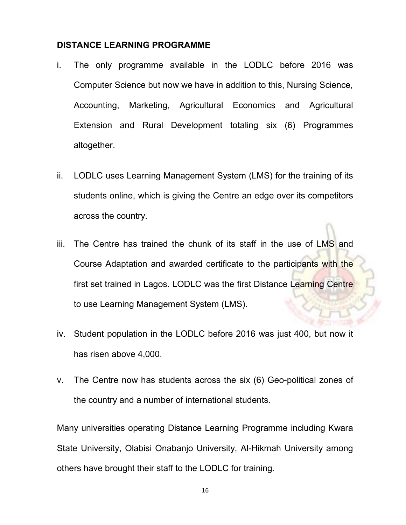#### DISTANCE LEARNING PROGRAMME

- i. The only programme available in the LODLC before 2016 was Computer Science but now we have in addition to this, Nursing Science, Accounting, Marketing, Agricultural Economics and Agricultural Extension and Rural Development totaling six (6) Programmes altogether.
- ii. LODLC uses Learning Management System (LMS) for the training of its students online, which is giving the Centre an edge over its competitors across the country.
- iii. The Centre has trained the chunk of its staff in the use of LMS and Course Adaptation and awarded certificate to the participants with the first set trained in Lagos. LODLC was the first Distance Learning Centre to use Learning Management System (LMS).
- iv. Student population in the LODLC before 2016 was just 400, but now it has risen above 4,000.
- v. The Centre now has students across the six (6) Geo-political zones of the country and a number of international students.

Many universities operating Distance Learning Programme including Kwara State University, Olabisi Onabanjo University, Al-Hikmah University among others have brought their staff to the LODLC for training.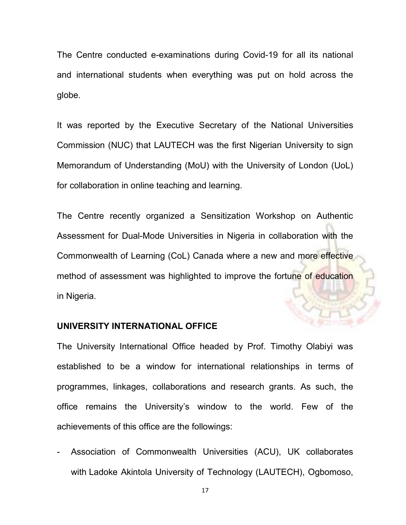The Centre conducted e-examinations during Covid-19 for all its national and international students when everything was put on hold across the globe.

It was reported by the Executive Secretary of the National Universities Commission (NUC) that LAUTECH was the first Nigerian University to sign Memorandum of Understanding (MoU) with the University of London (UoL) for collaboration in online teaching and learning.

The Centre recently organized a Sensitization Workshop on Authentic Assessment for Dual-Mode Universities in Nigeria in collaboration with the Commonwealth of Learning (CoL) Canada where a new and more effective method of assessment was highlighted to improve the fortune of education in Nigeria.

### UNIVERSITY INTERNATIONAL OFFICE

The University International Office headed by Prof. Timothy Olabiyi was established to be a window for international relationships in terms of programmes, linkages, collaborations and research grants. As such, the office remains the University's window to the world. Few of the achievements of this office are the followings:

- Association of Commonwealth Universities (ACU), UK collaborates with Ladoke Akintola University of Technology (LAUTECH), Ogbomoso,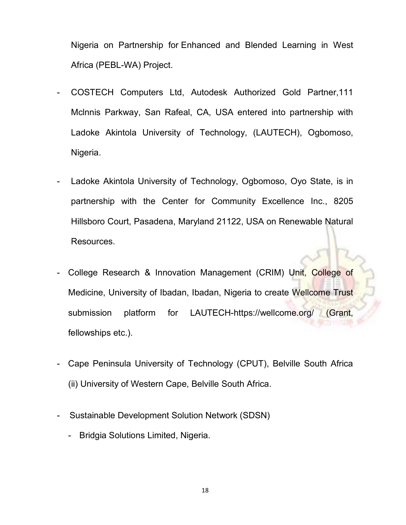Nigeria on Partnership for Enhanced and Blended Learning in West Africa (PEBL-WA) Project.

- COSTECH Computers Ltd, Autodesk Authorized Gold Partner,111 Mclnnis Parkway, San Rafeal, CA, USA entered into partnership with Ladoke Akintola University of Technology, (LAUTECH), Ogbomoso, Nigeria.
- Ladoke Akintola University of Technology, Ogbomoso, Oyo State, is in partnership with the Center for Community Excellence Inc., 8205 Hillsboro Court, Pasadena, Maryland 21122, USA on Renewable Natural Resources.
- College Research & Innovation Management (CRIM) Unit, College of Medicine, University of Ibadan, Ibadan, Nigeria to create Wellcome Trust submission platform for LAUTECH-https://wellcome.org/ Grant, fellowships etc.).
- Cape Peninsula University of Technology (CPUT), Belville South Africa (ii) University of Western Cape, Belville South Africa.
- Sustainable Development Solution Network (SDSN)
	- Bridgia Solutions Limited, Nigeria.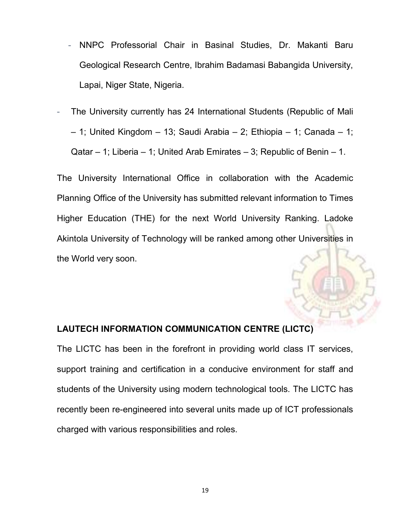- NNPC Professorial Chair in Basinal Studies, Dr. Makanti Baru Geological Research Centre, Ibrahim Badamasi Babangida University, Lapai, Niger State, Nigeria.
- The University currently has 24 International Students (Republic of Mali – 1; United Kingdom – 13; Saudi Arabia – 2; Ethiopia – 1; Canada – 1; Qatar – 1; Liberia – 1; United Arab Emirates – 3; Republic of Benin – 1.

The University International Office in collaboration with the Academic Planning Office of the University has submitted relevant information to Times Higher Education (THE) for the next World University Ranking. Ladoke Akintola University of Technology will be ranked among other Universities in the World very soon.

## LAUTECH INFORMATION COMMUNICATION CENTRE (LICTC)

The LICTC has been in the forefront in providing world class IT services, support training and certification in a conducive environment for staff and students of the University using modern technological tools. The LICTC has recently been re-engineered into several units made up of ICT professionals charged with various responsibilities and roles.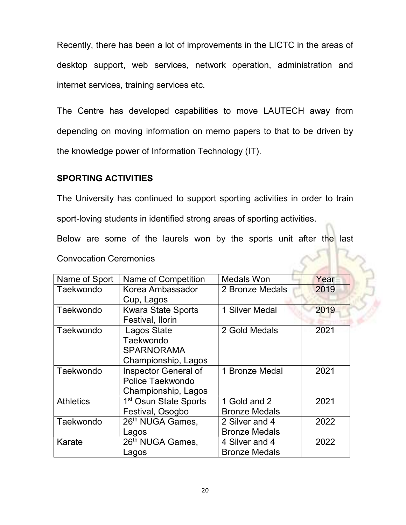Recently, there has been a lot of improvements in the LICTC in the areas of desktop support, web services, network operation, administration and internet services, training services etc.

The Centre has developed capabilities to move LAUTECH away from depending on moving information on memo papers to that to be driven by the knowledge power of Information Technology (IT).

#### SPORTING ACTIVITIES

The University has continued to support sporting activities in order to train sport-loving students in identified strong areas of sporting activities.

Below are some of the laurels won by the sports unit after the last

Convocation Ceremonies

| Name of Sport    | Name of Competition               | <b>Medals Won</b>    | Year |
|------------------|-----------------------------------|----------------------|------|
| Taekwondo        | Korea Ambassador                  | 2 Bronze Medals      | 2019 |
|                  | Cup, Lagos                        |                      |      |
| Taekwondo        | <b>Kwara State Sports</b>         | 1 Silver Medal       | 2019 |
|                  | Festival, Ilorin                  |                      |      |
| Taekwondo        | Lagos State                       | 2 Gold Medals        | 2021 |
|                  | Taekwondo                         |                      |      |
|                  | <b>SPARNORAMA</b>                 |                      |      |
|                  | Championship, Lagos               |                      |      |
| Taekwondo        | Inspector General of              | 1 Bronze Medal       | 2021 |
|                  | Police Taekwondo                  |                      |      |
|                  | Championship, Lagos               |                      |      |
| <b>Athletics</b> | 1 <sup>st</sup> Osun State Sports | 1 Gold and 2         | 2021 |
|                  | Festival, Osogbo                  | <b>Bronze Medals</b> |      |
| Taekwondo        | 26th NUGA Games,                  | 2 Silver and 4       | 2022 |
|                  | Lagos                             | <b>Bronze Medals</b> |      |
| Karate           | 26 <sup>th</sup> NUGA Games,      | 4 Silver and 4       | 2022 |
|                  | Lagos                             | <b>Bronze Medals</b> |      |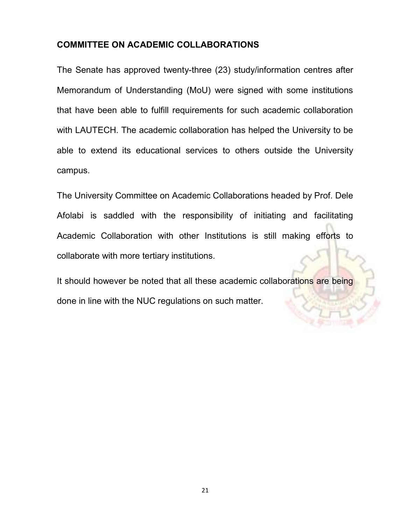### COMMITTEE ON ACADEMIC COLLABORATIONS

The Senate has approved twenty-three (23) study/information centres after Memorandum of Understanding (MoU) were signed with some institutions that have been able to fulfill requirements for such academic collaboration with LAUTECH. The academic collaboration has helped the University to be able to extend its educational services to others outside the University campus.

The University Committee on Academic Collaborations headed by Prof. Dele Afolabi is saddled with the responsibility of initiating and facilitating Academic Collaboration with other Institutions is still making efforts to collaborate with more tertiary institutions.

It should however be noted that all these academic collaborations are being done in line with the NUC regulations on such matter.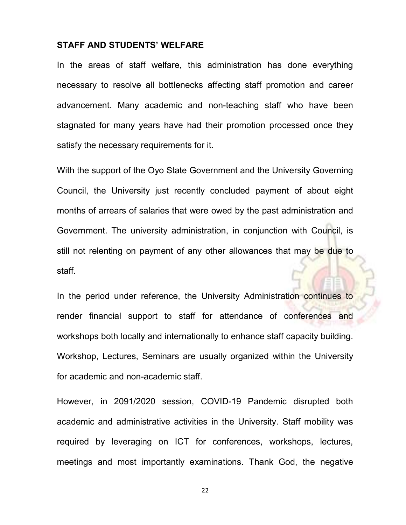#### STAFF AND STUDENTS' WELFARE

In the areas of staff welfare, this administration has done everything necessary to resolve all bottlenecks affecting staff promotion and career advancement. Many academic and non-teaching staff who have been stagnated for many years have had their promotion processed once they satisfy the necessary requirements for it.

With the support of the Oyo State Government and the University Governing Council, the University just recently concluded payment of about eight months of arrears of salaries that were owed by the past administration and Government. The university administration, in conjunction with Council, is still not relenting on payment of any other allowances that may be due to staff.

In the period under reference, the University Administration continues to render financial support to staff for attendance of conferences and workshops both locally and internationally to enhance staff capacity building. Workshop, Lectures, Seminars are usually organized within the University for academic and non-academic staff.

However, in 2091/2020 session, COVID-19 Pandemic disrupted both academic and administrative activities in the University. Staff mobility was required by leveraging on ICT for conferences, workshops, lectures, meetings and most importantly examinations. Thank God, the negative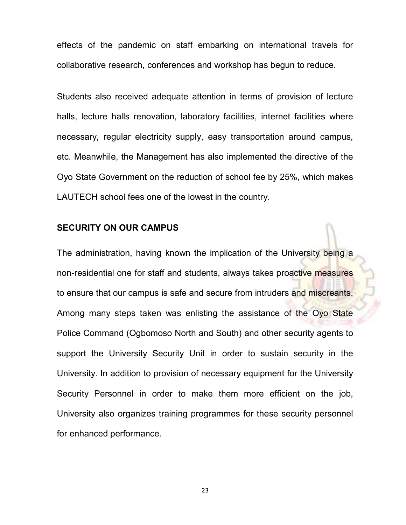effects of the pandemic on staff embarking on international travels for collaborative research, conferences and workshop has begun to reduce.

Students also received adequate attention in terms of provision of lecture halls, lecture halls renovation, laboratory facilities, internet facilities where necessary, regular electricity supply, easy transportation around campus, etc. Meanwhile, the Management has also implemented the directive of the Oyo State Government on the reduction of school fee by 25%, which makes LAUTECH school fees one of the lowest in the country.

#### SECURITY ON OUR CAMPUS

The administration, having known the implication of the University being a non-residential one for staff and students, always takes proactive measures to ensure that our campus is safe and secure from intruders and miscreants. Among many steps taken was enlisting the assistance of the Oyo State Police Command (Ogbomoso North and South) and other security agents to support the University Security Unit in order to sustain security in the University. In addition to provision of necessary equipment for the University Security Personnel in order to make them more efficient on the job, University also organizes training programmes for these security personnel for enhanced performance.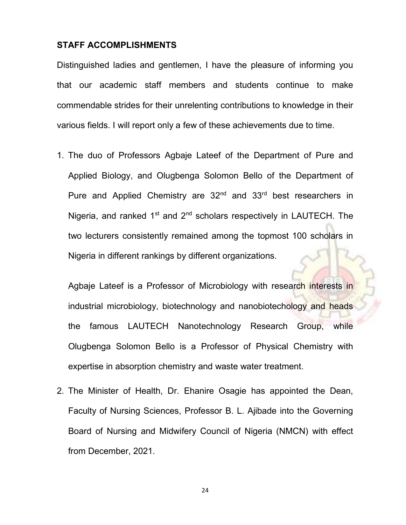#### STAFF ACCOMPLISHMENTS

Distinguished ladies and gentlemen, I have the pleasure of informing you that our academic staff members and students continue to make commendable strides for their unrelenting contributions to knowledge in their various fields. I will report only a few of these achievements due to time.

1. The duo of Professors Agbaje Lateef of the Department of Pure and Applied Biology, and Olugbenga Solomon Bello of the Department of Pure and Applied Chemistry are 32<sup>nd</sup> and 33<sup>rd</sup> best researchers in Nigeria, and ranked  $1<sup>st</sup>$  and  $2<sup>nd</sup>$  scholars respectively in LAUTECH. The two lecturers consistently remained among the topmost 100 scholars in Nigeria in different rankings by different organizations.

Agbaje Lateef is a Professor of Microbiology with research interests in industrial microbiology, biotechnology and nanobiotechology and heads the famous LAUTECH Nanotechnology Research Group, while Olugbenga Solomon Bello is a Professor of Physical Chemistry with expertise in absorption chemistry and waste water treatment.

2. The Minister of Health, Dr. Ehanire Osagie has appointed the Dean, Faculty of Nursing Sciences, Professor B. L. Ajibade into the Governing Board of Nursing and Midwifery Council of Nigeria (NMCN) with effect from December, 2021.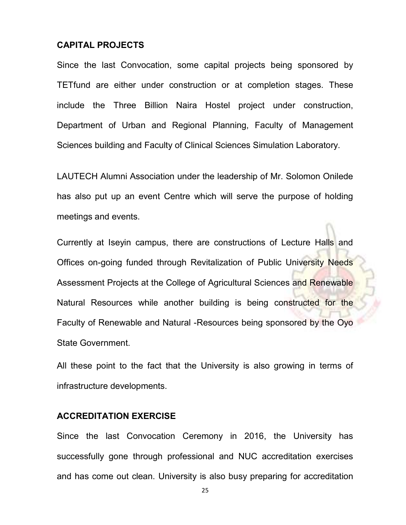#### CAPITAL PROJECTS

Since the last Convocation, some capital projects being sponsored by TETfund are either under construction or at completion stages. These include the Three Billion Naira Hostel project under construction, Department of Urban and Regional Planning, Faculty of Management Sciences building and Faculty of Clinical Sciences Simulation Laboratory.

LAUTECH Alumni Association under the leadership of Mr. Solomon Onilede has also put up an event Centre which will serve the purpose of holding meetings and events.

Currently at Iseyin campus, there are constructions of Lecture Halls and Offices on-going funded through Revitalization of Public University Needs Assessment Projects at the College of Agricultural Sciences and Renewable Natural Resources while another building is being constructed for the Faculty of Renewable and Natural -Resources being sponsored by the Oyo State Government.

All these point to the fact that the University is also growing in terms of infrastructure developments.

#### ACCREDITATION EXERCISE

Since the last Convocation Ceremony in 2016, the University has successfully gone through professional and NUC accreditation exercises and has come out clean. University is also busy preparing for accreditation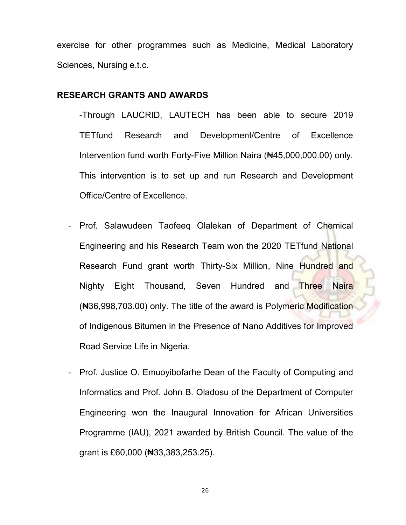exercise for other programmes such as Medicine, Medical Laboratory Sciences, Nursing e.t.c.

#### RESEARCH GRANTS AND AWARDS

-Through LAUCRID, LAUTECH has been able to secure 2019 TETfund Research and Development/Centre of Excellence Intervention fund worth Forty-Five Million Naira (₦45,000,000.00) only. This intervention is to set up and run Research and Development Office/Centre of Excellence.

- Prof. Salawudeen Taofeeq Olalekan of Department of Chemical Engineering and his Research Team won the 2020 TETfund National Research Fund grant worth Thirty-Six Million, Nine Hundred and Nighty Eight Thousand, Seven Hundred and Three Naira (₦36,998,703.00) only. The title of the award is Polymeric Modification of Indigenous Bitumen in the Presence of Nano Additives for Improved Road Service Life in Nigeria.
- Prof. Justice O. Emuoyibofarhe Dean of the Faculty of Computing and Informatics and Prof. John B. Oladosu of the Department of Computer Engineering won the Inaugural Innovation for African Universities Programme (IAU), 2021 awarded by British Council. The value of the grant is £60,000 (₦33,383,253.25).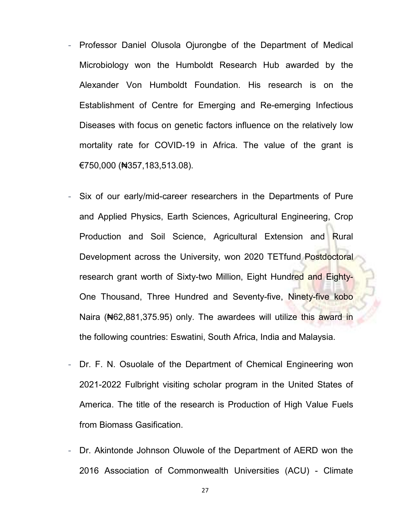- Professor Daniel Olusola Ojurongbe of the Department of Medical Microbiology won the Humboldt Research Hub awarded by the Alexander Von Humboldt Foundation. His research is on the Establishment of Centre for Emerging and Re-emerging Infectious Diseases with focus on genetic factors influence on the relatively low mortality rate for COVID-19 in Africa. The value of the grant is €750,000 (₦357,183,513.08).
- Six of our early/mid-career researchers in the Departments of Pure and Applied Physics, Earth Sciences, Agricultural Engineering, Crop Production and Soil Science, Agricultural Extension and Rural Development across the University, won 2020 TETfund Postdoctoral research grant worth of Sixty-two Million, Eight Hundred and Eighty-One Thousand, Three Hundred and Seventy-five, Ninety-five kobo Naira (N62,881,375.95) only. The awardees will utilize this award in the following countries: Eswatini, South Africa, India and Malaysia.
- Dr. F. N. Osuolale of the Department of Chemical Engineering won 2021-2022 Fulbright visiting scholar program in the United States of America. The title of the research is Production of High Value Fuels from Biomass Gasification.
- Dr. Akintonde Johnson Oluwole of the Department of AERD won the 2016 Association of Commonwealth Universities (ACU) - Climate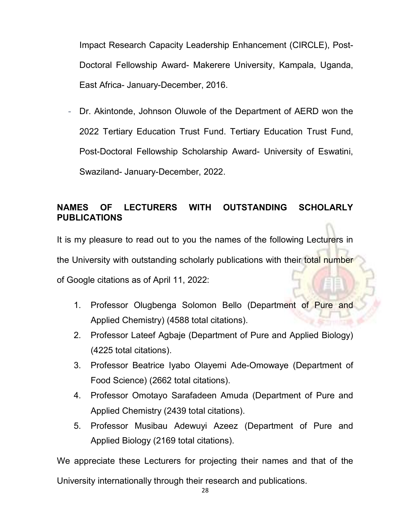Impact Research Capacity Leadership Enhancement (CIRCLE), Post-Doctoral Fellowship Award- Makerere University, Kampala, Uganda, East Africa- January-December, 2016.

Dr. Akintonde, Johnson Oluwole of the Department of AERD won the 2022 Tertiary Education Trust Fund. Tertiary Education Trust Fund, Post-Doctoral Fellowship Scholarship Award- University of Eswatini, Swaziland- January-December, 2022.

## NAMES OF LECTURERS WITH OUTSTANDING SCHOLARLY PUBLICATIONS

It is my pleasure to read out to you the names of the following Lecturers in the University with outstanding scholarly publications with their total number of Google citations as of April 11, 2022:

- 1. Professor Olugbenga Solomon Bello (Department of Pure and Applied Chemistry) (4588 total citations).
- 2. Professor Lateef Agbaje (Department of Pure and Applied Biology) (4225 total citations).
- 3. Professor Beatrice Iyabo Olayemi Ade-Omowaye (Department of Food Science) (2662 total citations).
- 4. Professor Omotayo Sarafadeen Amuda (Department of Pure and Applied Chemistry (2439 total citations).
- 5. Professor Musibau Adewuyi Azeez (Department of Pure and Applied Biology (2169 total citations).

We appreciate these Lecturers for projecting their names and that of the University internationally through their research and publications.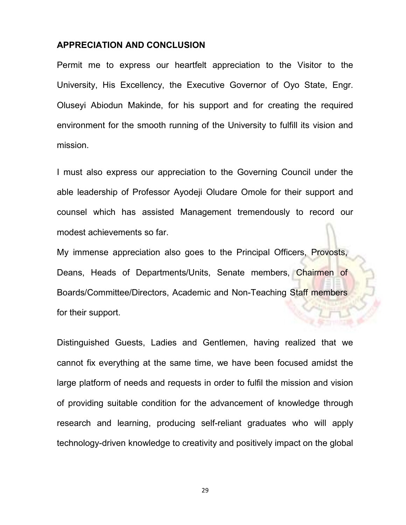#### APPRECIATION AND CONCLUSION

Permit me to express our heartfelt appreciation to the Visitor to the University, His Excellency, the Executive Governor of Oyo State, Engr. Oluseyi Abiodun Makinde, for his support and for creating the required environment for the smooth running of the University to fulfill its vision and mission.

I must also express our appreciation to the Governing Council under the able leadership of Professor Ayodeji Oludare Omole for their support and counsel which has assisted Management tremendously to record our modest achievements so far.

My immense appreciation also goes to the Principal Officers, Provosts, Deans, Heads of Departments/Units, Senate members, Chairmen of Boards/Committee/Directors, Academic and Non-Teaching Staff members for their support.

Distinguished Guests, Ladies and Gentlemen, having realized that we cannot fix everything at the same time, we have been focused amidst the large platform of needs and requests in order to fulfil the mission and vision of providing suitable condition for the advancement of knowledge through research and learning, producing self-reliant graduates who will apply technology-driven knowledge to creativity and positively impact on the global